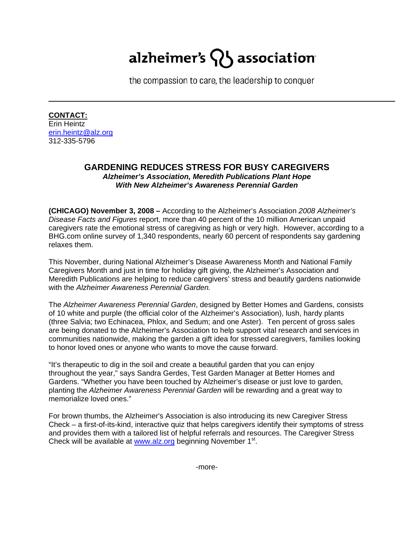# alzheimer's  $\{ \}$  association

the compassion to care, the leadership to conquer

**CONTACT:** Erin Heintz [erin.heintz@alz.org](mailto:erin.heintz@alz.org)  312-335-5796

# **GARDENING REDUCES STRESS FOR BUSY CAREGIVERS**  *Alzheimer's Association, Meredith Publications Plant Hope With New Alzheimer's Awareness Perennial Garden*

**(CHICAGO) November 3, 2008 –** According to the Alzheimer's Association *2008 Alzheimer's Disease Facts and Figures* report, more than 40 percent of the 10 million American unpaid caregivers rate the emotional stress of caregiving as high or very high. However, according to a BHG.com online survey of 1,340 respondents, nearly 60 percent of respondents say gardening relaxes them.

This November, during National Alzheimer's Disease Awareness Month and National Family Caregivers Month and just in time for holiday gift giving, the Alzheimer's Association and Meredith Publications are helping to reduce caregivers' stress and beautify gardens nationwide with the *Alzheimer Awareness Perennial Garden.*

The *Alzheimer Awareness Perennial Garden*, designed by Better Homes and Gardens, consists of 10 white and purple (the official color of the Alzheimer's Association), lush, hardy plants (three Salvia; two Echinacea, Phlox, and Sedum; and one Aster). Ten percent of gross sales are being donated to the Alzheimer's Association to help support vital research and services in communities nationwide, making the garden a gift idea for stressed caregivers, families looking to honor loved ones or anyone who wants to move the cause forward.

"It's therapeutic to dig in the soil and create a beautiful garden that you can enjoy throughout the year," says Sandra Gerdes, Test Garden Manager at Better Homes and Gardens. "Whether you have been touched by Alzheimer's disease or just love to garden, planting the *Alzheimer Awareness Perennial Garden* will be rewarding and a great way to memorialize loved ones."

For brown thumbs, the Alzheimer's Association is also introducing its new Caregiver Stress Check – a first-of-its-kind, interactive quiz that helps caregivers identify their symptoms of stress and provides them with a tailored list of helpful referrals and resources. The Caregiver Stress Check will be available at www.alz.org beginning November 1<sup>st</sup>.